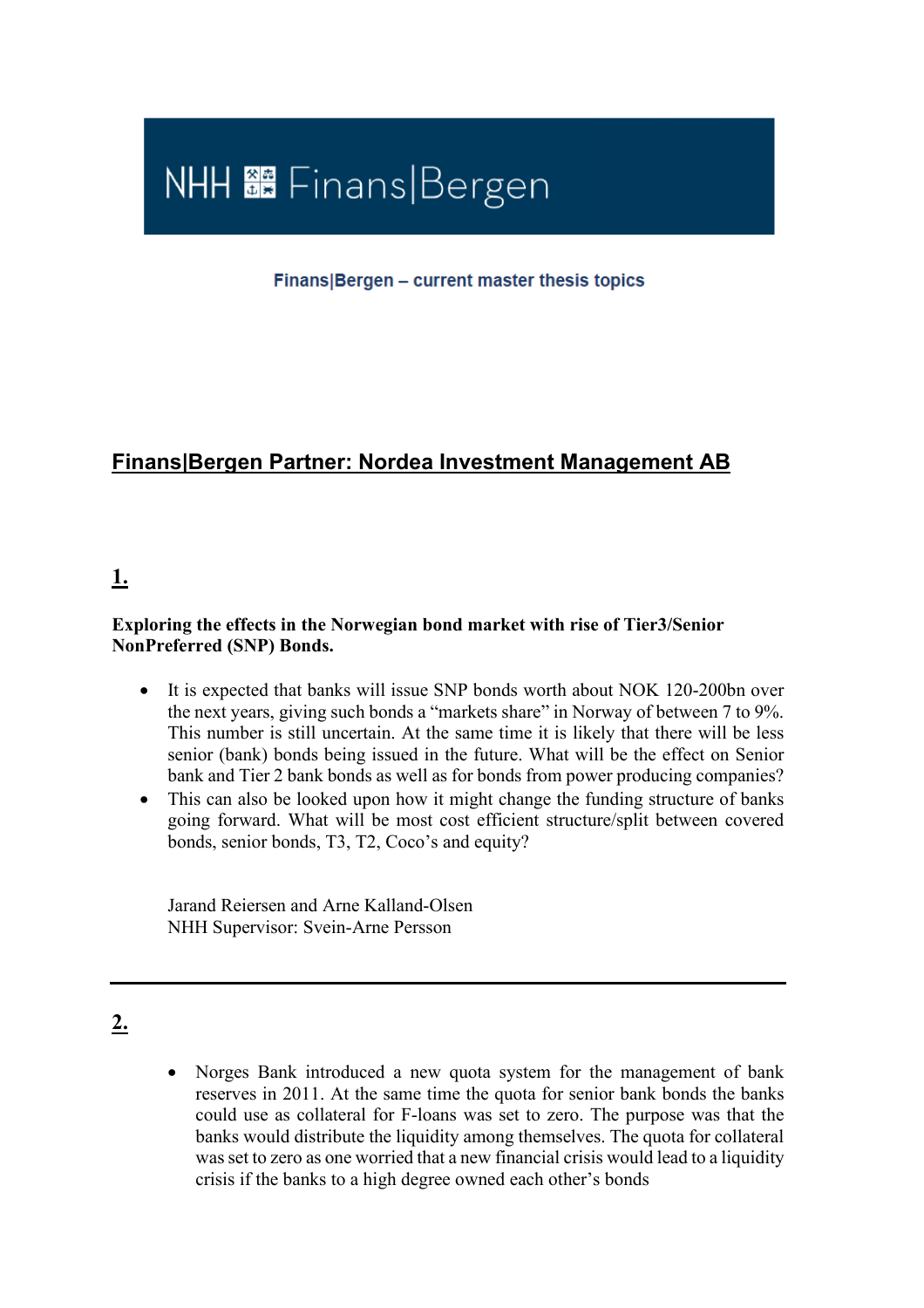

Finans Bergen - current master thesis topics

## **Finans|Bergen Partner: Nordea Investment Management AB**

### **1.**

#### **Exploring the effects in the Norwegian bond market with rise of Tier3/Senior NonPreferred (SNP) Bonds.**

- It is expected that banks will issue SNP bonds worth about NOK 120-200bn over the next years, giving such bonds a "markets share" in Norway of between 7 to 9%. This number is still uncertain. At the same time it is likely that there will be less senior (bank) bonds being issued in the future. What will be the effect on Senior bank and Tier 2 bank bonds as well as for bonds from power producing companies?
- This can also be looked upon how it might change the funding structure of banks going forward. What will be most cost efficient structure/split between covered bonds, senior bonds, T3, T2, Coco's and equity?

Jarand Reiersen and Arne Kalland-Olsen NHH Supervisor: Svein-Arne Persson

## **2.**

• Norges Bank introduced a new quota system for the management of bank reserves in 2011. At the same time the quota for senior bank bonds the banks could use as collateral for F-loans was set to zero. The purpose was that the banks would distribute the liquidity among themselves. The quota for collateral was set to zero as one worried that a new financial crisis would lead to a liquidity crisis if the banks to a high degree owned each other's bonds